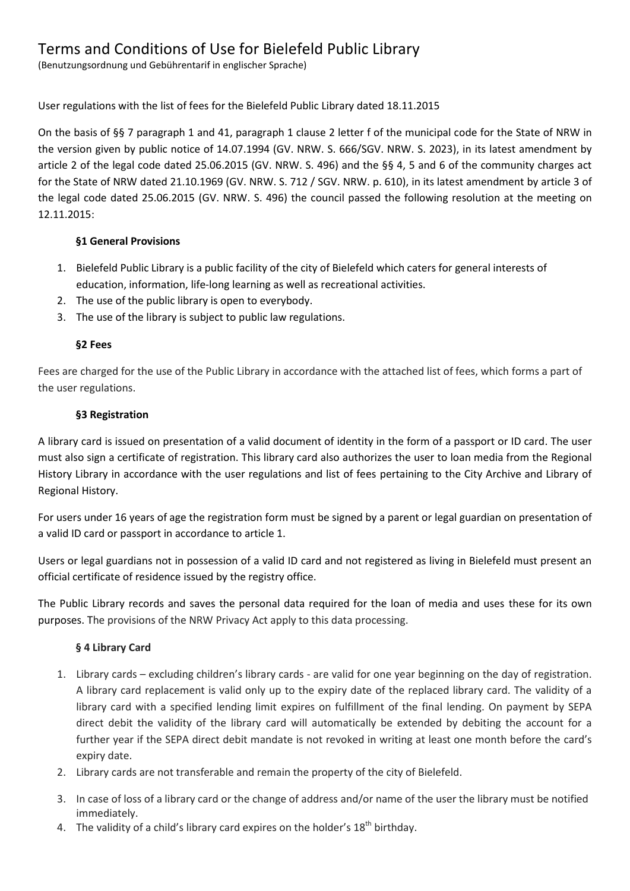# Terms and Conditions of Use for Bielefeld Public Library

(Benutzungsordnung und Gebührentarif in englischer Sprache)

# User regulations with the list of fees for the Bielefeld Public Library dated 18.11.2015

On the basis of §§ 7 paragraph 1 and 41, paragraph 1 clause 2 letter f of the municipal code for the State of NRW in the version given by public notice of 14.07.1994 (GV. NRW. S. 666/SGV. NRW. S. 2023), in its latest amendment by article 2 of the legal code dated 25.06.2015 (GV. NRW. S. 496) and the §§ 4, 5 and 6 of the community charges act for the State of NRW dated 21.10.1969 (GV. NRW. S. 712 / SGV. NRW. p. 610), in its latest amendment by article 3 of the legal code dated 25.06.2015 (GV. NRW. S. 496) the council passed the following resolution at the meeting on 12.11.2015:

#### **§1 General Provisions**

- 1. Bielefeld Public Library is a public facility of the city of Bielefeld which caters for general interests of education, information, life-long learning as well as recreational activities.
- 2. The use of the public library is open to everybody.
- 3. The use of the library is subject to public law regulations.

#### **§2 Fees**

Fees are charged for the use of the Public Library in accordance with the attached list of fees, which forms a part of the user regulations.

#### **§3 Registration**

A library card is issued on presentation of a valid document of identity in the form of a passport or ID card. The user must also sign a certificate of registration. This library card also authorizes the user to loan media from the Regional History Library in accordance with the user regulations and list of fees pertaining to the City Archive and Library of Regional History.

For users under 16 years of age the registration form must be signed by a parent or legal guardian on presentation of a valid ID card or passport in accordance to article 1.

Users or legal guardians not in possession of a valid ID card and not registered as living in Bielefeld must present an official certificate of residence issued by the registry office.

The Public Library records and saves the personal data required for the loan of media and uses these for its own purposes. The provisions of the NRW Privacy Act apply to this data processing.

# **§ 4 Library Card**

- 1. Library cards excluding children's library cards are valid for one year beginning on the day of registration. A library card replacement is valid only up to the expiry date of the replaced library card. The validity of a library card with a specified lending limit expires on fulfillment of the final lending. On payment by SEPA direct debit the validity of the library card will automatically be extended by debiting the account for a further year if the SEPA direct debit mandate is not revoked in writing at least one month before the card's expiry date.
- 2. Library cards are not transferable and remain the property of the city of Bielefeld.
- 3. In case of loss of a library card or the change of address and/or name of the user the library must be notified immediately.
- 4. The validity of a child's library card expires on the holder's  $18<sup>th</sup>$  birthday.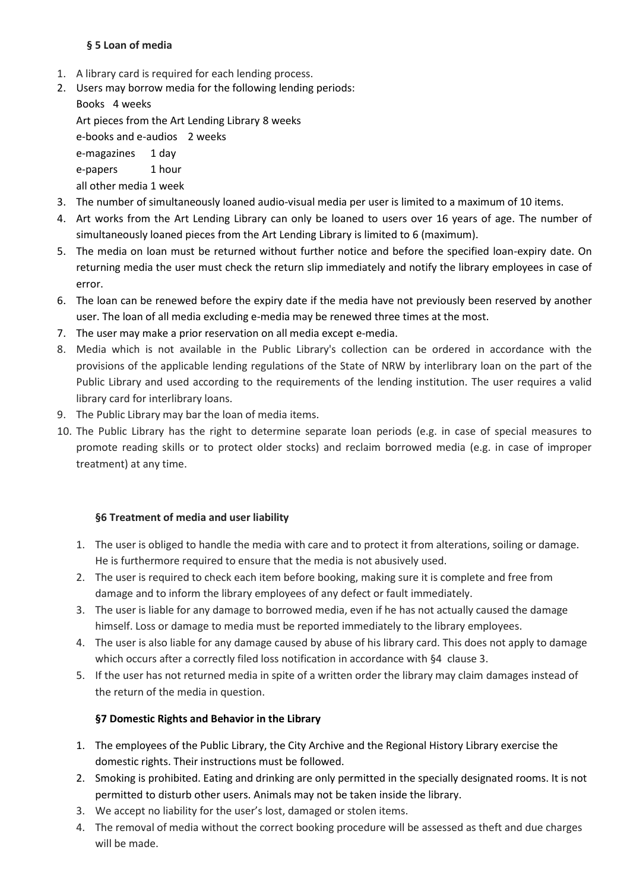#### **§ 5 Loan of media**

- 1. A library card is required for each lending process.
- 2. Users may borrow media for the following lending periods:

Books 4 weeks

Art pieces from the Art Lending Library 8 weeks

e-books and e-audios 2 weeks

e-magazines 1 day

e-papers 1 hour

all other media 1 week

- 3. The number of simultaneously loaned audio-visual media per user is limited to a maximum of 10 items.
- 4. Art works from the Art Lending Library can only be loaned to users over 16 years of age. The number of simultaneously loaned pieces from the Art Lending Library is limited to 6 (maximum).
- 5. The media on loan must be returned without further notice and before the specified loan-expiry date. On returning media the user must check the return slip immediately and notify the library employees in case of error.
- 6. The loan can be renewed before the expiry date if the media have not previously been reserved by another user. The loan of all media excluding e-media may be renewed three times at the most.
- 7. The user may make a prior reservation on all media except e-media.
- 8. Media which is not available in the Public Library's collection can be ordered in accordance with the provisions of the applicable lending regulations of the State of NRW by interlibrary loan on the part of the Public Library and used according to the requirements of the lending institution. The user requires a valid library card for interlibrary loans.
- 9. The Public Library may bar the loan of media items.
- 10. The Public Library has the right to determine separate loan periods (e.g. in case of special measures to promote reading skills or to protect older stocks) and reclaim borrowed media (e.g. in case of improper treatment) at any time.

# **§6 Treatment of media and user liability**

- 1. The user is obliged to handle the media with care and to protect it from alterations, soiling or damage. He is furthermore required to ensure that the media is not abusively used.
- 2. The user is required to check each item before booking, making sure it is complete and free from damage and to inform the library employees of any defect or fault immediately.
- 3. The user is liable for any damage to borrowed media, even if he has not actually caused the damage himself. Loss or damage to media must be reported immediately to the library employees.
- 4. The user is also liable for any damage caused by abuse of his library card. This does not apply to damage which occurs after a correctly filed loss notification in accordance with §4 clause 3.
- 5. If the user has not returned media in spite of a written order the library may claim damages instead of the return of the media in question.

# **§7 Domestic Rights and Behavior in the Library**

- 1. The employees of the Public Library, the City Archive and the Regional History Library exercise the domestic rights. Their instructions must be followed.
- 2. Smoking is prohibited. Eating and drinking are only permitted in the specially designated rooms. It is not permitted to disturb other users. Animals may not be taken inside the library.
- 3. We accept no liability for the user's lost, damaged or stolen items.
- 4. The removal of media without the correct booking procedure will be assessed as theft and due charges will be made.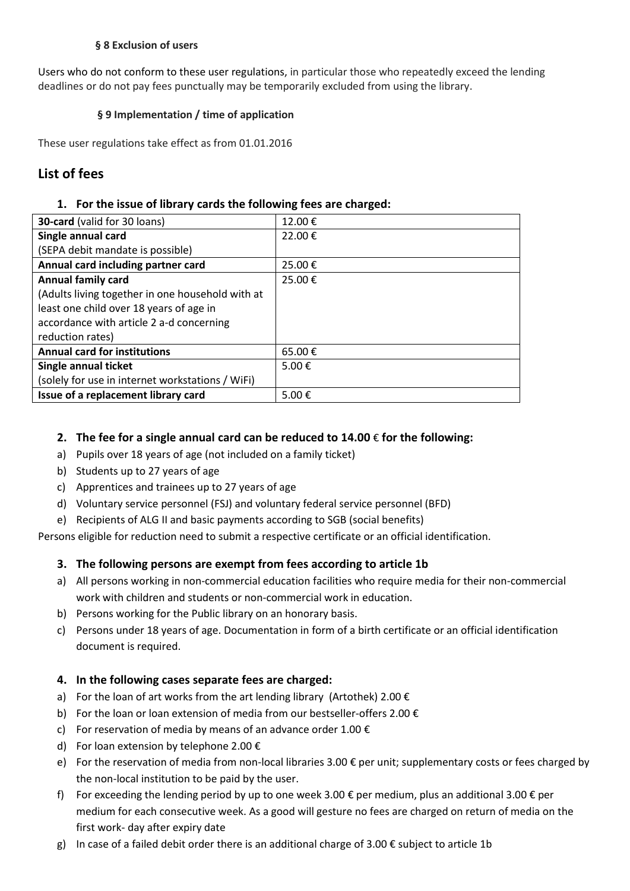#### **§ 8 Exclusion of users**

Users who do not conform to these user regulations, in particular those who repeatedly exceed the lending deadlines or do not pay fees punctually may be temporarily excluded from using the library.

#### **§ 9 Implementation / time of application**

These user regulations take effect as from 01.01.2016

# **List of fees**

#### **1. For the issue of library cards the following fees are charged:**

| <b>30-card</b> (valid for 30 loans)              | 12.00€ |
|--------------------------------------------------|--------|
| Single annual card                               | 22.00€ |
| (SEPA debit mandate is possible)                 |        |
| Annual card including partner card               | 25.00€ |
| <b>Annual family card</b>                        | 25.00€ |
| (Adults living together in one household with at |        |
| least one child over 18 years of age in          |        |
| accordance with article 2 a-d concerning         |        |
| reduction rates)                                 |        |
| <b>Annual card for institutions</b>              | 65.00€ |
| Single annual ticket                             | 5.00 € |
| (solely for use in internet workstations / WiFi) |        |
| Issue of a replacement library card              | 5.00€  |

### **2. The fee for a single annual card can be reduced to 14.00** € **for the following:**

- a) Pupils over 18 years of age (not included on a family ticket)
- b) Students up to 27 years of age
- c) Apprentices and trainees up to 27 years of age
- d) Voluntary service personnel (FSJ) and voluntary federal service personnel (BFD)
- e) Recipients of ALG II and basic payments according to SGB (social benefits)

Persons eligible for reduction need to submit a respective certificate or an official identification.

# **3. The following persons are exempt from fees according to article 1b**

- a) All persons working in non-commercial education facilities who require media for their non-commercial work with children and students or non-commercial work in education.
- b) Persons working for the Public library on an honorary basis.
- c) Persons under 18 years of age. Documentation in form of a birth certificate or an official identification document is required.

# **4. In the following cases separate fees are charged:**

- a) For the loan of art works from the art lending library (Artothek) 2.00  $\epsilon$
- b) For the loan or loan extension of media from our bestseller-offers 2.00  $\epsilon$
- c) For reservation of media by means of an advance order 1.00  $\epsilon$
- d) For loan extension by telephone 2.00 €
- e) For the reservation of media from non-local libraries 3.00  $\epsilon$  per unit; supplementary costs or fees charged by the non-local institution to be paid by the user.
- f) For exceeding the lending period by up to one week 3.00  $\epsilon$  per medium, plus an additional 3.00  $\epsilon$  per medium for each consecutive week. As a good will gesture no fees are charged on return of media on the first work- day after expiry date
- g) In case of a failed debit order there is an additional charge of 3.00  $\epsilon$  subject to article 1b